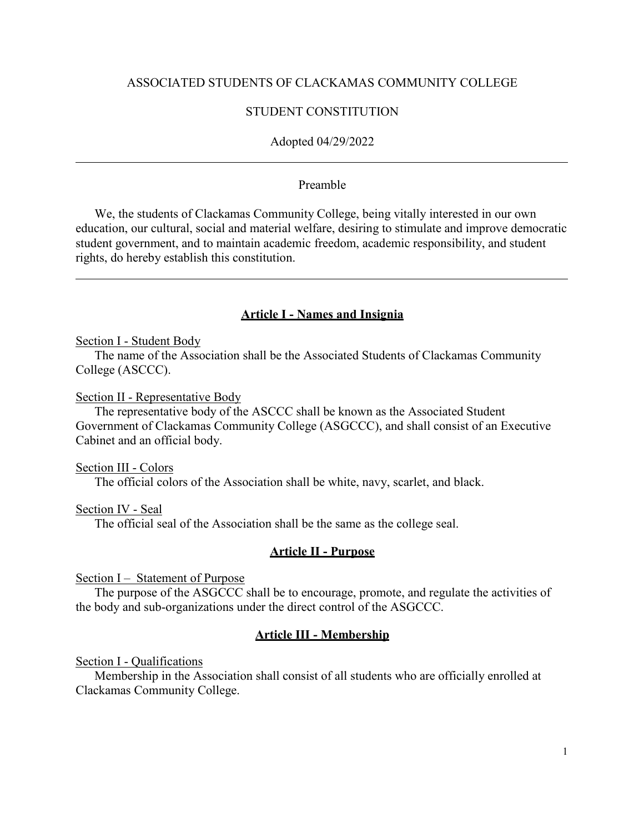#### ASSOCIATED STUDENTS OF CLACKAMAS COMMUNITY COLLEGE

#### STUDENT CONSTITUTION

#### Adopted 04/29/2022

#### Preamble

We, the students of Clackamas Community College, being vitally interested in our own education, our cultural, social and material welfare, desiring to stimulate and improve democratic student government, and to maintain academic freedom, academic responsibility, and student rights, do hereby establish this constitution.

#### **Article I - Names and Insignia**

#### Section I - Student Body

The name of the Association shall be the Associated Students of Clackamas Community College (ASCCC).

Section II - Representative Body

The representative body of the ASCCC shall be known as the Associated Student Government of Clackamas Community College (ASGCCC), and shall consist of an Executive Cabinet and an official body.

Section III - Colors

The official colors of the Association shall be white, navy, scarlet, and black.

Section IV - Seal

The official seal of the Association shall be the same as the college seal.

#### **Article II - Purpose**

Section I – Statement of Purpose

The purpose of the ASGCCC shall be to encourage, promote, and regulate the activities of the body and sub-organizations under the direct control of the ASGCCC.

#### **Article III - Membership**

Section I - Qualifications

Membership in the Association shall consist of all students who are officially enrolled at Clackamas Community College.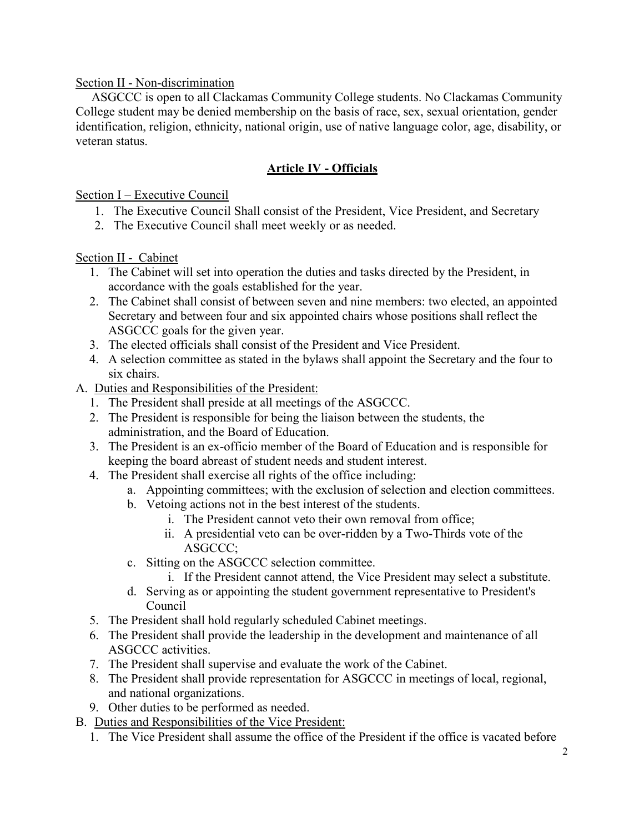### Section II - Non-discrimination

ASGCCC is open to all Clackamas Community College students. No Clackamas Community College student may be denied membership on the basis of race, sex, sexual orientation, gender identification, religion, ethnicity, national origin, use of native language color, age, disability, or veteran status.

## **Article IV - Officials**

Section I – Executive Council

- 1. The Executive Council Shall consist of the President, Vice President, and Secretary
- 2. The Executive Council shall meet weekly or as needed.

Section II - Cabinet

- 1. The Cabinet will set into operation the duties and tasks directed by the President, in accordance with the goals established for the year.
- 2. The Cabinet shall consist of between seven and nine members: two elected, an appointed Secretary and between four and six appointed chairs whose positions shall reflect the ASGCCC goals for the given year.
- 3. The elected officials shall consist of the President and Vice President.
- 4. A selection committee as stated in the bylaws shall appoint the Secretary and the four to six chairs.
- A. Duties and Responsibilities of the President:
	- 1. The President shall preside at all meetings of the ASGCCC.
	- 2. The President is responsible for being the liaison between the students, the administration, and the Board of Education.
	- 3. The President is an ex-officio member of the Board of Education and is responsible for keeping the board abreast of student needs and student interest.
	- 4. The President shall exercise all rights of the office including:
		- a. Appointing committees; with the exclusion of selection and election committees.
		- b. Vetoing actions not in the best interest of the students.
			- i. The President cannot veto their own removal from office;
			- ii. A presidential veto can be over-ridden by a Two-Thirds vote of the ASGCCC;
		- c. Sitting on the ASGCCC selection committee.
			- i. If the President cannot attend, the Vice President may select a substitute.
		- d. Serving as or appointing the student government representative to President's Council
	- 5. The President shall hold regularly scheduled Cabinet meetings.
	- 6. The President shall provide the leadership in the development and maintenance of all ASGCCC activities.
	- 7. The President shall supervise and evaluate the work of the Cabinet.
	- 8. The President shall provide representation for ASGCCC in meetings of local, regional, and national organizations.
	- 9. Other duties to be performed as needed.
- B. Duties and Responsibilities of the Vice President:
	- 1. The Vice President shall assume the office of the President if the office is vacated before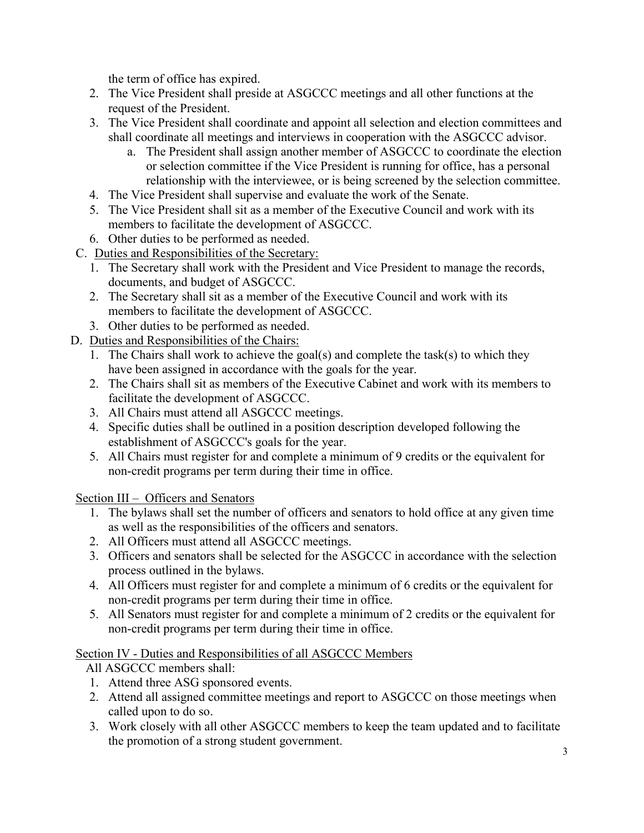the term of office has expired.

- 2. The Vice President shall preside at ASGCCC meetings and all other functions at the request of the President.
- 3. The Vice President shall coordinate and appoint all selection and election committees and shall coordinate all meetings and interviews in cooperation with the ASGCCC advisor.
	- a. The President shall assign another member of ASGCCC to coordinate the election or selection committee if the Vice President is running for office, has a personal relationship with the interviewee, or is being screened by the selection committee.
- 4. The Vice President shall supervise and evaluate the work of the Senate.
- 5. The Vice President shall sit as a member of the Executive Council and work with its members to facilitate the development of ASGCCC.
- 6. Other duties to be performed as needed.
- C. Duties and Responsibilities of the Secretary:
	- 1. The Secretary shall work with the President and Vice President to manage the records, documents, and budget of ASGCCC.
	- 2. The Secretary shall sit as a member of the Executive Council and work with its members to facilitate the development of ASGCCC.
	- 3. Other duties to be performed as needed.
- D. Duties and Responsibilities of the Chairs:
	- 1. The Chairs shall work to achieve the goal(s) and complete the task(s) to which they have been assigned in accordance with the goals for the year.
	- 2. The Chairs shall sit as members of the Executive Cabinet and work with its members to facilitate the development of ASGCCC.
	- 3. All Chairs must attend all ASGCCC meetings.
	- 4. Specific duties shall be outlined in a position description developed following the establishment of ASGCCC's goals for the year.
	- 5. All Chairs must register for and complete a minimum of 9 credits or the equivalent for non-credit programs per term during their time in office.

Section III – Officers and Senators

- 1. The bylaws shall set the number of officers and senators to hold office at any given time as well as the responsibilities of the officers and senators.
- 2. All Officers must attend all ASGCCC meetings.
- 3. Officers and senators shall be selected for the ASGCCC in accordance with the selection process outlined in the bylaws.
- 4. All Officers must register for and complete a minimum of 6 credits or the equivalent for non-credit programs per term during their time in office.
- 5. All Senators must register for and complete a minimum of 2 credits or the equivalent for non-credit programs per term during their time in office.

# Section IV - Duties and Responsibilities of all ASGCCC Members

All ASGCCC members shall:

- 1. Attend three ASG sponsored events.
- 2. Attend all assigned committee meetings and report to ASGCCC on those meetings when called upon to do so.
- 3. Work closely with all other ASGCCC members to keep the team updated and to facilitate the promotion of a strong student government.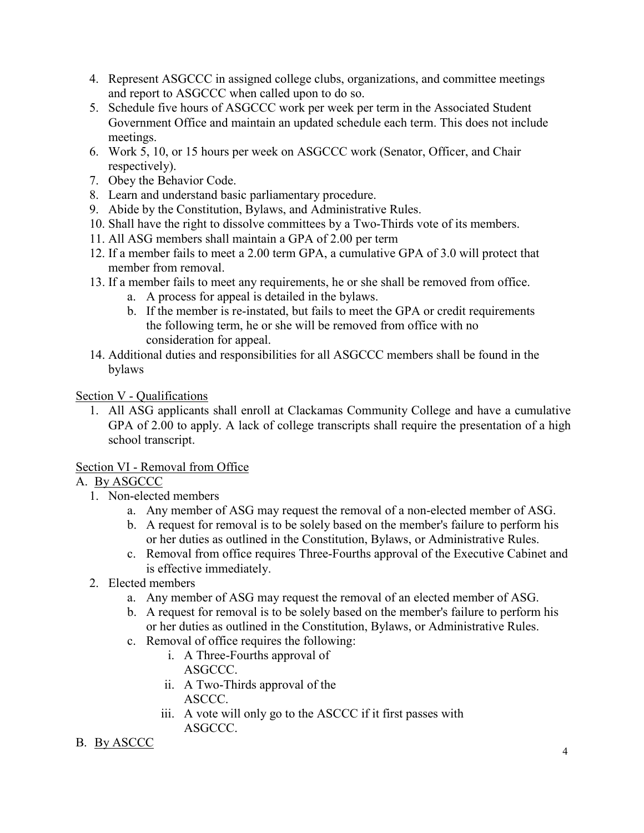- 4. Represent ASGCCC in assigned college clubs, organizations, and committee meetings and report to ASGCCC when called upon to do so.
- 5. Schedule five hours of ASGCCC work per week per term in the Associated Student Government Office and maintain an updated schedule each term. This does not include meetings.
- 6. Work 5, 10, or 15 hours per week on ASGCCC work (Senator, Officer, and Chair respectively).
- 7. Obey the Behavior Code.
- 8. Learn and understand basic parliamentary procedure.
- 9. Abide by the Constitution, Bylaws, and Administrative Rules.
- 10. Shall have the right to dissolve committees by a Two-Thirds vote of its members.
- 11. All ASG members shall maintain a GPA of 2.00 per term
- 12. If a member fails to meet a 2.00 term GPA, a cumulative GPA of 3.0 will protect that member from removal.
- 13. If a member fails to meet any requirements, he or she shall be removed from office.
	- a. A process for appeal is detailed in the bylaws.
	- b. If the member is re-instated, but fails to meet the GPA or credit requirements the following term, he or she will be removed from office with no consideration for appeal.
- 14. Additional duties and responsibilities for all ASGCCC members shall be found in the bylaws

Section V - Qualifications

1. All ASG applicants shall enroll at Clackamas Community College and have a cumulative GPA of 2.00 to apply. A lack of college transcripts shall require the presentation of a high school transcript.

Section VI - Removal from Office

# A. By ASGCCC

- 1. Non-elected members
	- a. Any member of ASG may request the removal of a non-elected member of ASG.
	- b. A request for removal is to be solely based on the member's failure to perform his or her duties as outlined in the Constitution, Bylaws, or Administrative Rules.
	- c. Removal from office requires Three-Fourths approval of the Executive Cabinet and is effective immediately.
- 2. Elected members
	- a. Any member of ASG may request the removal of an elected member of ASG.
	- b. A request for removal is to be solely based on the member's failure to perform his or her duties as outlined in the Constitution, Bylaws, or Administrative Rules.
	- c. Removal of office requires the following:
		- i. A Three-Fourths approval of ASGCCC.
		- ii. A Two-Thirds approval of the ASCCC.
		- iii. A vote will only go to the ASCCC if it first passes with ASGCCC.

# B. By ASCCC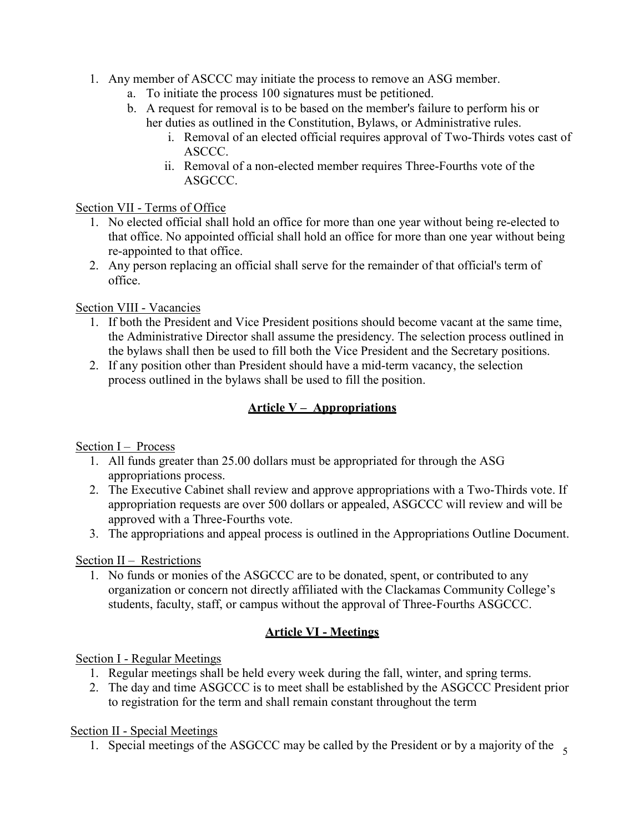- 1. Any member of ASCCC may initiate the process to remove an ASG member.
	- a. To initiate the process 100 signatures must be petitioned.
	- b. A request for removal is to be based on the member's failure to perform his or her duties as outlined in the Constitution, Bylaws, or Administrative rules.
		- i. Removal of an elected official requires approval of Two-Thirds votes cast of ASCCC.
		- ii. Removal of a non-elected member requires Three-Fourths vote of the ASGCCC.

### Section VII - Terms of Office

- 1. No elected official shall hold an office for more than one year without being re-elected to that office. No appointed official shall hold an office for more than one year without being re-appointed to that office.
- 2. Any person replacing an official shall serve for the remainder of that official's term of office.

# Section VIII - Vacancies

- 1. If both the President and Vice President positions should become vacant at the same time, the Administrative Director shall assume the presidency. The selection process outlined in the bylaws shall then be used to fill both the Vice President and the Secretary positions.
- 2. If any position other than President should have a mid-term vacancy, the selection process outlined in the bylaws shall be used to fill the position.

# **Article V – Appropriations**

# Section I – Process

- 1. All funds greater than 25.00 dollars must be appropriated for through the ASG appropriations process.
- 2. The Executive Cabinet shall review and approve appropriations with a Two-Thirds vote. If appropriation requests are over 500 dollars or appealed, ASGCCC will review and will be approved with a Three-Fourths vote.
- 3. The appropriations and appeal process is outlined in the Appropriations Outline Document.

### Section II – Restrictions

1. No funds or monies of the ASGCCC are to be donated, spent, or contributed to any organization or concern not directly affiliated with the Clackamas Community College's students, faculty, staff, or campus without the approval of Three-Fourths ASGCCC.

# **Article VI - Meetings**

# Section I - Regular Meetings

- 1. Regular meetings shall be held every week during the fall, winter, and spring terms.
- 2. The day and time ASGCCC is to meet shall be established by the ASGCCC President prior to registration for the term and shall remain constant throughout the term

### Section II - Special Meetings

1. Special meetings of the ASGCCC may be called by the President or by a majority of the  $\frac{1}{5}$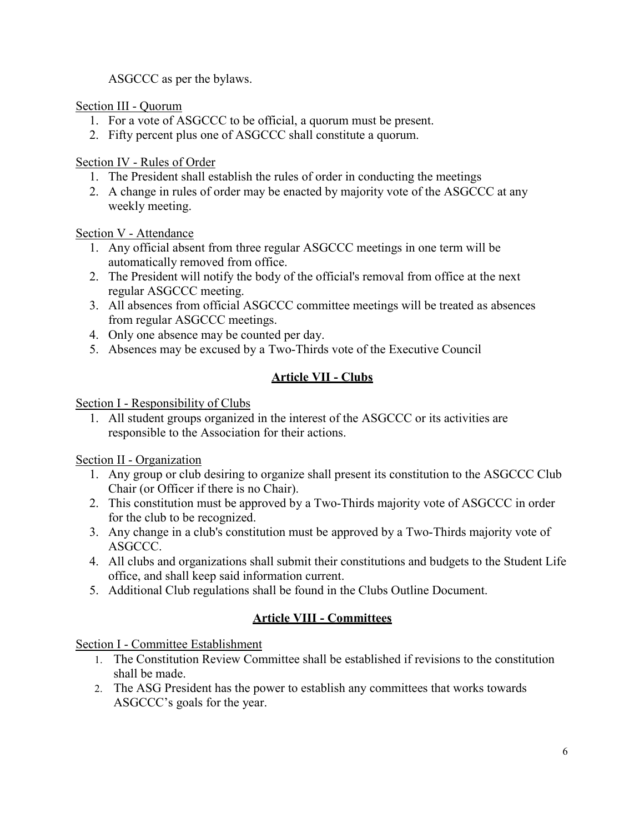ASGCCC as per the bylaws.

Section III - Quorum

- 1. For a vote of ASGCCC to be official, a quorum must be present.
- 2. Fifty percent plus one of ASGCCC shall constitute a quorum.

Section IV - Rules of Order

- 1. The President shall establish the rules of order in conducting the meetings
- 2. A change in rules of order may be enacted by majority vote of the ASGCCC at any weekly meeting.

Section V - Attendance

- 1. Any official absent from three regular ASGCCC meetings in one term will be automatically removed from office.
- 2. The President will notify the body of the official's removal from office at the next regular ASGCCC meeting.
- 3. All absences from official ASGCCC committee meetings will be treated as absences from regular ASGCCC meetings.
- 4. Only one absence may be counted per day.
- 5. Absences may be excused by a Two-Thirds vote of the Executive Council

# **Article VII - Clubs**

Section I - Responsibility of Clubs

1. All student groups organized in the interest of the ASGCCC or its activities are responsible to the Association for their actions.

Section II - Organization

- 1. Any group or club desiring to organize shall present its constitution to the ASGCCC Club Chair (or Officer if there is no Chair).
- 2. This constitution must be approved by a Two-Thirds majority vote of ASGCCC in order for the club to be recognized.
- 3. Any change in a club's constitution must be approved by a Two-Thirds majority vote of ASGCCC.
- 4. All clubs and organizations shall submit their constitutions and budgets to the Student Life office, and shall keep said information current.
- 5. Additional Club regulations shall be found in the Clubs Outline Document.

# **Article VIII - Committees**

Section I - Committee Establishment

- 1. The Constitution Review Committee shall be established if revisions to the constitution shall be made.
- 2. The ASG President has the power to establish any committees that works towards ASGCCC's goals for the year.